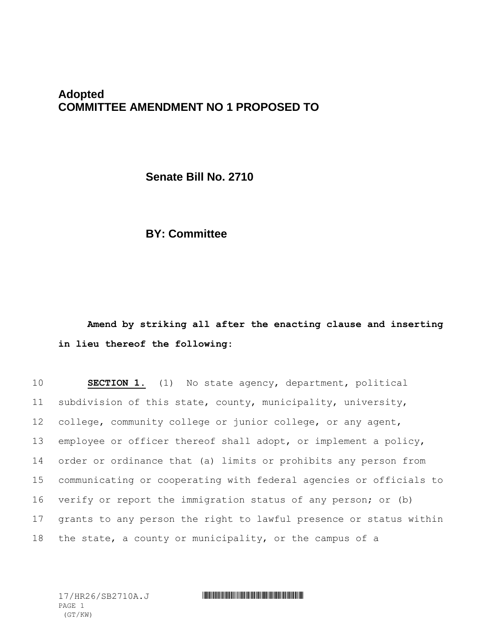## **Adopted COMMITTEE AMENDMENT NO 1 PROPOSED TO**

**Senate Bill No. 2710**

## **BY: Committee**

**Amend by striking all after the enacting clause and inserting in lieu thereof the following:**

 **SECTION 1.** (1) No state agency, department, political subdivision of this state, county, municipality, university, college, community college or junior college, or any agent, employee or officer thereof shall adopt, or implement a policy, order or ordinance that (a) limits or prohibits any person from communicating or cooperating with federal agencies or officials to verify or report the immigration status of any person; or (b) grants to any person the right to lawful presence or status within the state, a county or municipality, or the campus of a

PAGE 1 (GT/KW)

## 17/HR26/SB2710A.J \*HR26/SB2710A.J\*